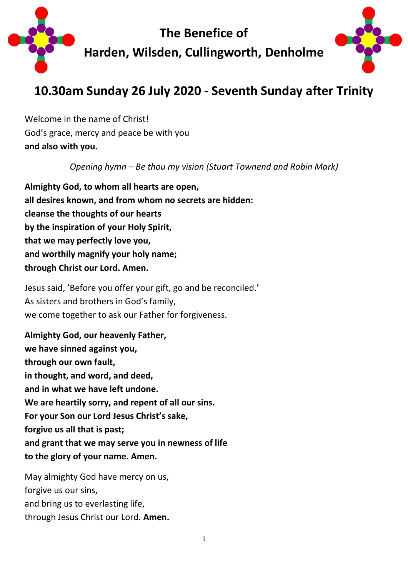

# **10.30am Sunday 26 July 2020 - Seventh Sunday after Trinity**

Welcome in the name of Christ! God's grace, mercy and peace be with you **and also with you.**

*Opening hymn – Be thou my vision (Stuart Townend and Robin Mark)*

**Almighty God, to whom all hearts are open, all desires known, and from whom no secrets are hidden: cleanse the thoughts of our hearts by the inspiration of your Holy Spirit, that we may perfectly love you, and worthily magnify your holy name; through Christ our Lord. Amen.**

Jesus said, 'Before you offer your gift, go and be reconciled.' As sisters and brothers in God's family, we come together to ask our Father for forgiveness.

**Almighty God, our heavenly Father, we have sinned against you, through our own fault, in thought, and word, and deed, and in what we have left undone. We are heartily sorry, and repent of all our sins. For your Son our Lord Jesus Christ's sake, forgive us all that is past; and grant that we may serve you in newness of life to the glory of your name. Amen.**

May almighty God have mercy on us, forgive us our sins, and bring us to everlasting life, through Jesus Christ our Lord. **Amen.**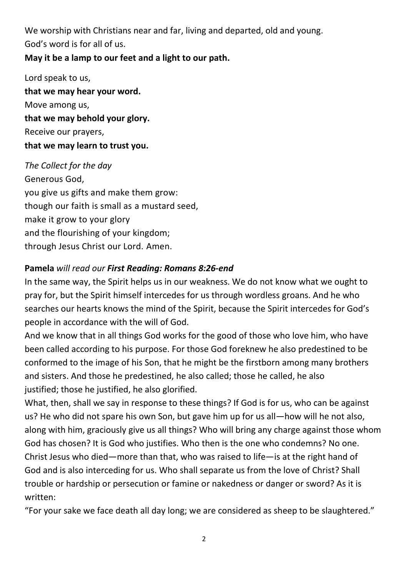We worship with Christians near and far, living and departed, old and young. God's word is for all of us.

## **May it be a lamp to our feet and a light to our path.**

Lord speak to us, **that we may hear your word.** Move among us, **that we may behold your glory.** Receive our prayers, **that we may learn to trust you.**

*The Collect for the day* Generous God, you give us gifts and make them grow: though our faith is small as a mustard seed, make it grow to your glory and the flourishing of your kingdom; through Jesus Christ our Lord. Amen.

### **Pamela** *will read our First Reading: Romans 8:26-end*

In the same way, the Spirit helps us in our weakness. We do not know what we ought to pray for, but the Spirit himself intercedes for us through wordless groans. And he who searches our hearts knows the mind of the Spirit, because the Spirit intercedes for God's people in accordance with the will of God.

And we know that in all things God works for the good of those who love him, who have been called according to his purpose. For those God foreknew he also predestined to be conformed to the image of his Son, that he might be the firstborn among many brothers and sisters. And those he predestined, he also called; those he called, he also justified; those he justified, he also glorified.

What, then, shall we say in response to these things? If God is for us, who can be against us? He who did not spare his own Son, but gave him up for us all—how will he not also, along with him, graciously give us all things? Who will bring any charge against those whom God has chosen? It is God who justifies. Who then is the one who condemns? No one. Christ Jesus who died—more than that, who was raised to life—is at the right hand of God and is also interceding for us. Who shall separate us from the love of Christ? Shall trouble or hardship or persecution or famine or nakedness or danger or sword? As it is written:

"For your sake we face death all day long; we are considered as sheep to be slaughtered."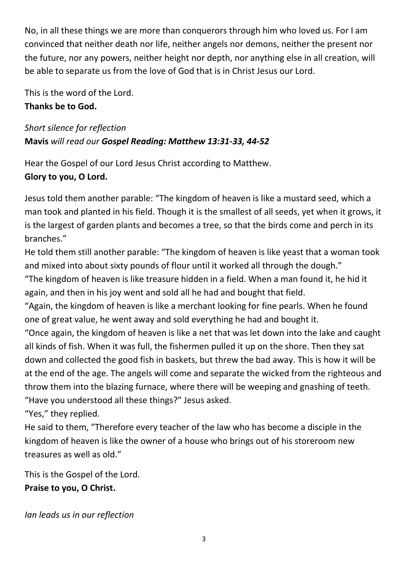No, in all these things we are more than conquerors through him who loved us. For I am convinced that neither death nor life, neither angels nor demons, neither the present nor the future, nor any powers, neither height nor depth, nor anything else in all creation, will be able to separate us from the love of God that is in Christ Jesus our Lord.

This is the word of the Lord. **Thanks be to God.**

*Short silence for reflection* **Mavis** *will read our Gospel Reading: Matthew 13:31-33, 44-52*

Hear the Gospel of our Lord Jesus Christ according to Matthew. **Glory to you, O Lord.**

Jesus told them another parable: "The kingdom of heaven is like a mustard seed, which a man took and planted in his field. Though it is the smallest of all seeds, yet when it grows, it is the largest of garden plants and becomes a tree, so that the birds come and perch in its branches."

He told them still another parable: "The kingdom of heaven is like yeast that a woman took and mixed into about sixty pounds of flour until it worked all through the dough." "The kingdom of heaven is like treasure hidden in a field. When a man found it, he hid it

again, and then in his joy went and sold all he had and bought that field.

"Again, the kingdom of heaven is like a merchant looking for fine pearls. When he found one of great value, he went away and sold everything he had and bought it.

"Once again, the kingdom of heaven is like a net that was let down into the lake and caught all kinds of fish. When it was full, the fishermen pulled it up on the shore. Then they sat down and collected the good fish in baskets, but threw the bad away. This is how it will be at the end of the age. The angels will come and separate the wicked from the righteous and throw them into the blazing furnace, where there will be weeping and gnashing of teeth. "Have you understood all these things?" Jesus asked.

"Yes," they replied.

He said to them, "Therefore every teacher of the law who has become a disciple in the kingdom of heaven is like the owner of a house who brings out of his storeroom new treasures as well as old."

This is the Gospel of the Lord. **Praise to you, O Christ.**

*Ian leads us in our reflection*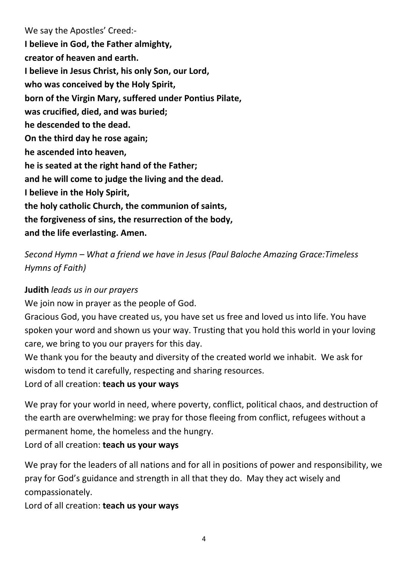We say the Apostles' Creed:- **I believe in God, the Father almighty, creator of heaven and earth. I believe in Jesus Christ, his only Son, our Lord, who was conceived by the Holy Spirit, born of the Virgin Mary, suffered under Pontius Pilate, was crucified, died, and was buried; he descended to the dead. On the third day he rose again; he ascended into heaven, he is seated at the right hand of the Father; and he will come to judge the living and the dead. I believe in the Holy Spirit, the holy catholic Church, the communion of saints, the forgiveness of sins, the resurrection of the body, and the life everlasting. Amen.**

*Second Hymn – What a friend we have in Jesus (Paul Baloche Amazing Grace:Timeless Hymns of Faith)*

### **Judith** *leads us in our prayers*

We join now in prayer as the people of God.

Gracious God, you have created us, you have set us free and loved us into life. You have spoken your word and shown us your way. Trusting that you hold this world in your loving care, we bring to you our prayers for this day.

We thank you for the beauty and diversity of the created world we inhabit. We ask for wisdom to tend it carefully, respecting and sharing resources.

Lord of all creation: **teach us your ways**

We pray for your world in need, where poverty, conflict, political chaos, and destruction of the earth are overwhelming: we pray for those fleeing from conflict, refugees without a permanent home, the homeless and the hungry.

Lord of all creation: **teach us your ways**

We pray for the leaders of all nations and for all in positions of power and responsibility, we pray for God's guidance and strength in all that they do. May they act wisely and compassionately.

Lord of all creation: **teach us your ways**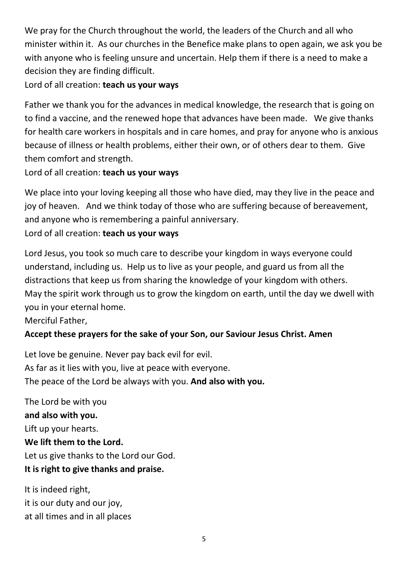We pray for the Church throughout the world, the leaders of the Church and all who minister within it. As our churches in the Benefice make plans to open again, we ask you be with anyone who is feeling unsure and uncertain. Help them if there is a need to make a decision they are finding difficult.

Lord of all creation: **teach us your ways**

Father we thank you for the advances in medical knowledge, the research that is going on to find a vaccine, and the renewed hope that advances have been made. We give thanks for health care workers in hospitals and in care homes, and pray for anyone who is anxious because of illness or health problems, either their own, or of others dear to them. Give them comfort and strength.

# Lord of all creation: **teach us your ways**

We place into your loving keeping all those who have died, may they live in the peace and joy of heaven. And we think today of those who are suffering because of bereavement, and anyone who is remembering a painful anniversary.

## Lord of all creation: **teach us your ways**

Lord Jesus, you took so much care to describe your kingdom in ways everyone could understand, including us. Help us to live as your people, and guard us from all the distractions that keep us from sharing the knowledge of your kingdom with others. May the spirit work through us to grow the kingdom on earth, until the day we dwell with you in your eternal home.

Merciful Father,

# **Accept these prayers for the sake of your Son, our Saviour Jesus Christ. Amen**

Let love be genuine. Never pay back evil for evil. As far as it lies with you, live at peace with everyone. The peace of the Lord be always with you. **And also with you.**

The Lord be with you **and also with you.** Lift up your hearts. **We lift them to the Lord.** Let us give thanks to the Lord our God. **It is right to give thanks and praise.**

It is indeed right, it is our duty and our joy, at all times and in all places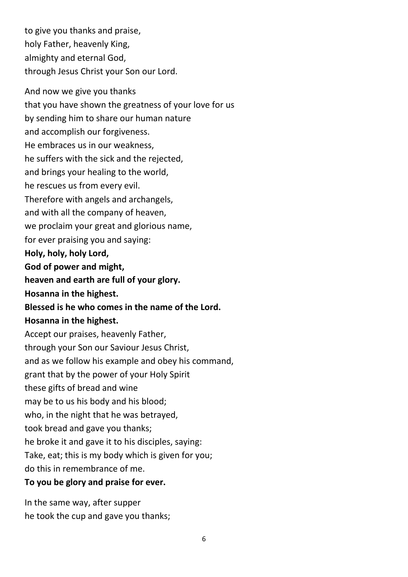to give you thanks and praise, holy Father, heavenly King, almighty and eternal God, through Jesus Christ your Son our Lord. And now we give you thanks that you have shown the greatness of your love for us by sending him to share our human nature and accomplish our forgiveness. He embraces us in our weakness, he suffers with the sick and the rejected, and brings your healing to the world, he rescues us from every evil. Therefore with angels and archangels,

and with all the company of heaven,

we proclaim your great and glorious name,

for ever praising you and saying:

**Holy, holy, holy Lord,**

**God of power and might,**

**heaven and earth are full of your glory.**

**Hosanna in the highest.**

**Blessed is he who comes in the name of the Lord.**

### **Hosanna in the highest.**

Accept our praises, heavenly Father, through your Son our Saviour Jesus Christ, and as we follow his example and obey his command, grant that by the power of your Holy Spirit these gifts of bread and wine may be to us his body and his blood; who, in the night that he was betrayed, took bread and gave you thanks; he broke it and gave it to his disciples, saying: Take, eat; this is my body which is given for you; do this in remembrance of me.

**To you be glory and praise for ever.**

In the same way, after supper he took the cup and gave you thanks;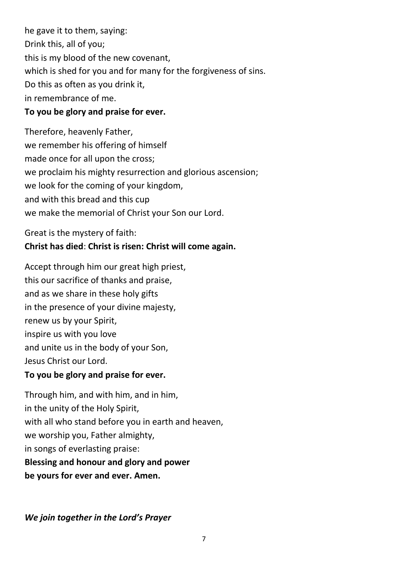he gave it to them, saying: Drink this, all of you; this is my blood of the new covenant, which is shed for you and for many for the forgiveness of sins. Do this as often as you drink it, in remembrance of me. **To you be glory and praise for ever.**

Therefore, heavenly Father, we remember his offering of himself made once for all upon the cross; we proclaim his mighty resurrection and glorious ascension; we look for the coming of your kingdom, and with this bread and this cup we make the memorial of Christ your Son our Lord.

### Great is the mystery of faith: **Christ has died**: **Christ is risen: Christ will come again.**

Accept through him our great high priest, this our sacrifice of thanks and praise, and as we share in these holy gifts in the presence of your divine majesty, renew us by your Spirit, inspire us with you love and unite us in the body of your Son, Jesus Christ our Lord.

### **To you be glory and praise for ever.**

Through him, and with him, and in him, in the unity of the Holy Spirit, with all who stand before you in earth and heaven, we worship you, Father almighty, in songs of everlasting praise: **Blessing and honour and glory and power be yours for ever and ever. Amen.**

*We join together in the Lord's Prayer*